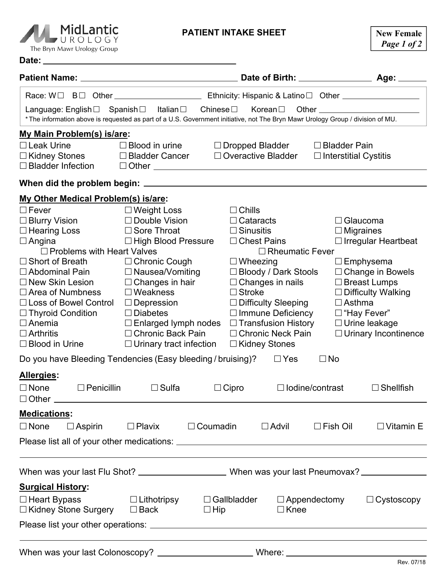

## **PATIENT INTAKE SHEET**

|                                      | VUROLOGY<br>The Bryn Mawr Urology Group  |                                                                                                                                                                                                                     | <u>FAILINI IINI ANL JIILLI</u> |                            |                                                     |                      |                            | <b>New Female</b><br>Page 1 of 2 |
|--------------------------------------|------------------------------------------|---------------------------------------------------------------------------------------------------------------------------------------------------------------------------------------------------------------------|--------------------------------|----------------------------|-----------------------------------------------------|----------------------|----------------------------|----------------------------------|
|                                      |                                          |                                                                                                                                                                                                                     |                                |                            |                                                     |                      |                            |                                  |
|                                      |                                          |                                                                                                                                                                                                                     |                                |                            |                                                     |                      |                            |                                  |
|                                      |                                          | Language: English□ Spanish□ Italian□ Chinese□ Korean□ Other ____________________<br>* The information above is requested as part of a U.S. Government initiative, not The Bryn Mawr Urology Group / division of MU. |                                |                            |                                                     |                      |                            |                                  |
|                                      | My Main Problem(s) is/are:               |                                                                                                                                                                                                                     |                                |                            |                                                     |                      |                            |                                  |
| $\Box$ Leak Urine<br>□ Kidney Stones |                                          | $\Box$ Blood in urine<br>$\Box$ Dropped Bladder<br>□ Overactive Bladder<br>□ Bladder Cancer                                                                                                                         |                                |                            | $\Box$ Bladder Pain<br>$\Box$ Interstitial Cystitis |                      |                            |                                  |
|                                      |                                          |                                                                                                                                                                                                                     |                                |                            |                                                     |                      |                            |                                  |
|                                      | My Other Medical Problem(s) is/are:      |                                                                                                                                                                                                                     |                                |                            |                                                     |                      |                            |                                  |
| $\Box$ Fever                         |                                          | Deight Loss ⊃                                                                                                                                                                                                       |                                | $\Box$ Chills              |                                                     |                      |                            |                                  |
| $\square$ Blurry Vision              |                                          | $\Box$ Double Vision                                                                                                                                                                                                |                                | $\Box$ Cataracts           |                                                     | $\Box$ Glaucoma      |                            |                                  |
| $\Box$ Hearing Loss                  |                                          | □ Sore Throat                                                                                                                                                                                                       |                                | $\Box$ Sinusitis           |                                                     | $\Box$ Migraines     |                            |                                  |
| $\Box$ Angina                        |                                          | □ High Blood Pressure                                                                                                                                                                                               |                                | $\Box$ Chest Pains         |                                                     |                      | $\Box$ Irregular Heartbeat |                                  |
|                                      | $\Box$ Problems with Heart Valves        |                                                                                                                                                                                                                     |                                |                            | $\Box$ Rheumatic Fever                              |                      |                            |                                  |
|                                      | $\square$ Short of Breath                | $\Box$ Chronic Cough                                                                                                                                                                                                |                                | $\Box$ Wheezing            |                                                     |                      | $\square$ Emphysema        |                                  |
| $\Box$ Abdominal Pain                |                                          | $\Box$ Nausea/Vomiting                                                                                                                                                                                              |                                | □ Bloody / Dark Stools     |                                                     | □ Change in Bowels   |                            |                                  |
| $\Box$ New Skin Lesion               |                                          | $\Box$ Changes in hair                                                                                                                                                                                              |                                | $\Box$ Changes in nails    |                                                     | $\Box$ Breast Lumps  |                            |                                  |
| $\Box$ Area of Numbness              |                                          | $\Box$ Weakness                                                                                                                                                                                                     |                                | $\Box$ Stroke              |                                                     |                      | $\Box$ Difficulty Walking  |                                  |
| $\Box$ Loss of Bowel Control         |                                          | $\Box$ Depression                                                                                                                                                                                                   |                                | $\Box$ Difficulty Sleeping |                                                     | $\Box$ Asthma        |                            |                                  |
| $\Box$ Thyroid Condition             |                                          | $\Box$ Diabetes                                                                                                                                                                                                     |                                | $\Box$ Immune Deficiency   |                                                     | □ "Hay Fever"        |                            |                                  |
| $\Box$ Anemia                        |                                          | $\Box$ Enlarged lymph nodes $\Box$ Transfusion History                                                                                                                                                              |                                |                            |                                                     | $\Box$ Urine leakage |                            |                                  |
| $\Box$ Arthritis                     |                                          | □ Chronic Back Pain                                                                                                                                                                                                 |                                | □ Chronic Neck Pain        |                                                     |                      |                            | $\Box$ Urinary Incontinence      |
|                                      | $\Box$ Blood in Urine                    | $\Box$ Urinary tract infection $\Box$ Kidney Stones                                                                                                                                                                 |                                |                            |                                                     |                      |                            |                                  |
|                                      |                                          | Do you have Bleeding Tendencies (Easy bleeding / bruising)? $\square$ Yes                                                                                                                                           |                                |                            |                                                     | $\Box$ No            |                            |                                  |
| Allergies:                           |                                          |                                                                                                                                                                                                                     |                                |                            |                                                     |                      |                            |                                  |
| $\Box$ None                          | $\Box$ Penicillin<br>$\Box$ Other $\Box$ | $\Box$ Sulfa                                                                                                                                                                                                        |                                | $\Box$ Cipro               | $\Box$ lodine/contrast                              |                      |                            | $\Box$ Shellfish                 |
|                                      |                                          |                                                                                                                                                                                                                     |                                |                            |                                                     |                      |                            |                                  |
| <b>Medications:</b><br>$\Box$ None   | $\Box$ Aspirin                           | $\Box$ Plavix                                                                                                                                                                                                       | $\Box$ Coumadin                |                            | $\Box$ Advil                                        |                      | $\Box$ Fish Oil            | $\Box$ Vitamin E                 |
|                                      |                                          |                                                                                                                                                                                                                     |                                |                            |                                                     |                      |                            |                                  |

Please list all of your other medications:

|                                                    |                                      |                                  | When was your last Pneumovax? __________ |                   |
|----------------------------------------------------|--------------------------------------|----------------------------------|------------------------------------------|-------------------|
| <b>Surgical History:</b>                           |                                      |                                  |                                          |                   |
| $\Box$ Heart Bypass<br>$\Box$ Kidney Stone Surgery | $\Box$ Lithotripsy<br>$\square$ Back | $\Box$ Gallbladder<br>$\Box$ Hip | $\Box$ Appendectomy<br>$\Box$ Knee       | $\Box$ Cystoscopy |
|                                                    |                                      |                                  |                                          |                   |
| When was your last Colonoscopy?                    |                                      | Where:                           |                                          |                   |